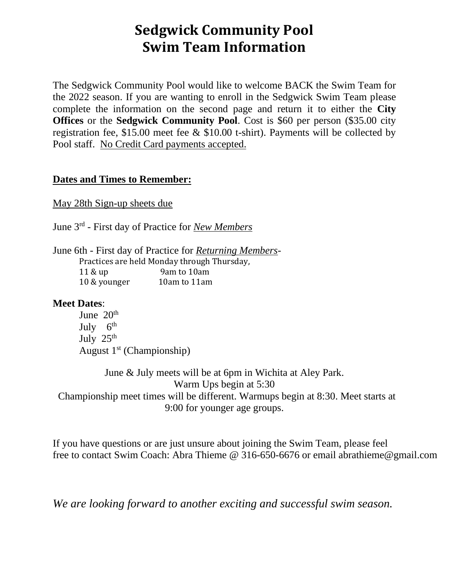## **Sedgwick Community Pool Swim Team Information**

The Sedgwick Community Pool would like to welcome BACK the Swim Team for the 2022 season. If you are wanting to enroll in the Sedgwick Swim Team please complete the information on the second page and return it to either the **City Offices** or the **Sedgwick Community Pool**. Cost is \$60 per person (\$35.00 city registration fee, \$15.00 meet fee & \$10.00 t-shirt). Payments will be collected by Pool staff. No Credit Card payments accepted.

## **Dates and Times to Remember:**

May 28th Sign-up sheets due

June 3rd - First day of Practice for *New Members*

June 6th - First day of Practice for *Returning Members*-Practices are held Monday through Thursday, 11 & up 9am to 10am 10 & younger 10am to 11am

## **Meet Dates**:

June  $20<sup>th</sup>$ July 6<sup>th</sup> July  $25<sup>th</sup>$ August  $1<sup>st</sup>$  (Championship)

June & July meets will be at 6pm in Wichita at Aley Park. Warm Ups begin at 5:30 Championship meet times will be different. Warmups begin at 8:30. Meet starts at 9:00 for younger age groups.

If you have questions or are just unsure about joining the Swim Team, please feel free to contact Swim Coach: Abra Thieme @ 316-650-6676 or email abrathieme@gmail.com

*We are looking forward to another exciting and successful swim season.*